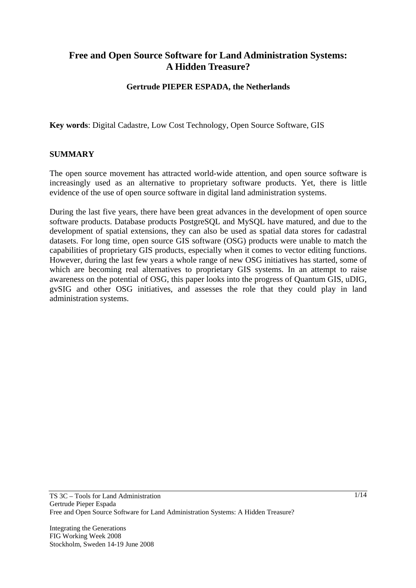# **Free and Open Source Software for Land Administration Systems: A Hidden Treasure?**

### **Gertrude PIEPER ESPADA, the Netherlands**

**Key words**: Digital Cadastre, Low Cost Technology, Open Source Software, GIS

### **SUMMARY**

The open source movement has attracted world-wide attention, and open source software is increasingly used as an alternative to proprietary software products. Yet, there is little evidence of the use of open source software in digital land administration systems.

During the last five years, there have been great advances in the development of open source software products. Database products PostgreSQL and MySQL have matured, and due to the development of spatial extensions, they can also be used as spatial data stores for cadastral datasets. For long time, open source GIS software (OSG) products were unable to match the capabilities of proprietary GIS products, especially when it comes to vector editing functions. However, during the last few years a whole range of new OSG initiatives has started, some of which are becoming real alternatives to proprietary GIS systems. In an attempt to raise awareness on the potential of OSG, this paper looks into the progress of Quantum GIS, uDIG, gvSIG and other OSG initiatives, and assesses the role that they could play in land administration systems.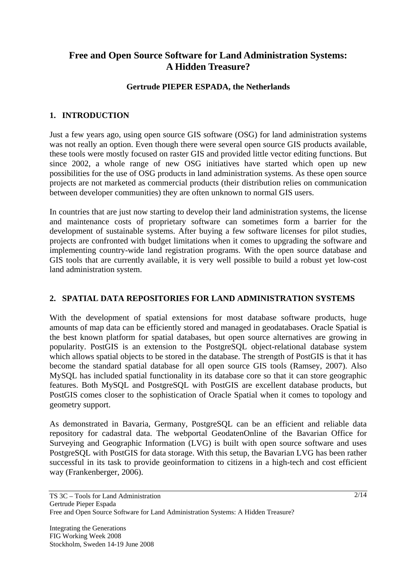# **Free and Open Source Software for Land Administration Systems: A Hidden Treasure?**

### **Gertrude PIEPER ESPADA, the Netherlands**

### **1. INTRODUCTION**

Just a few years ago, using open source GIS software (OSG) for land administration systems was not really an option. Even though there were several open source GIS products available, these tools were mostly focused on raster GIS and provided little vector editing functions. But since 2002, a whole range of new OSG initiatives have started which open up new possibilities for the use of OSG products in land administration systems. As these open source projects are not marketed as commercial products (their distribution relies on communication between developer communities) they are often unknown to normal GIS users.

In countries that are just now starting to develop their land administration systems, the license and maintenance costs of proprietary software can sometimes form a barrier for the development of sustainable systems. After buying a few software licenses for pilot studies, projects are confronted with budget limitations when it comes to upgrading the software and implementing country-wide land registration programs. With the open source database and GIS tools that are currently available, it is very well possible to build a robust yet low-cost land administration system.

### **2. SPATIAL DATA REPOSITORIES FOR LAND ADMINISTRATION SYSTEMS**

With the development of spatial extensions for most database software products, huge amounts of map data can be efficiently stored and managed in geodatabases. Oracle Spatial is the best known platform for spatial databases, but open source alternatives are growing in popularity. PostGIS is an extension to the PostgreSQL object-relational database system which allows spatial objects to be stored in the database. The strength of PostGIS is that it has become the standard spatial database for all open source GIS tools (Ramsey, 2007). Also MySQL has included spatial functionality in its database core so that it can store geographic features. Both MySQL and PostgreSQL with PostGIS are excellent database products, but PostGIS comes closer to the sophistication of Oracle Spatial when it comes to topology and geometry support.

As demonstrated in Bavaria, Germany, PostgreSQL can be an efficient and reliable data repository for cadastral data. The webportal GeodatenOnline of the Bavarian Office for Surveying and Geographic Information (LVG) is built with open source software and uses PostgreSQL with PostGIS for data storage. With this setup, the Bavarian LVG has been rather successful in its task to provide geoinformation to citizens in a high-tech and cost efficient way (Frankenberger, 2006).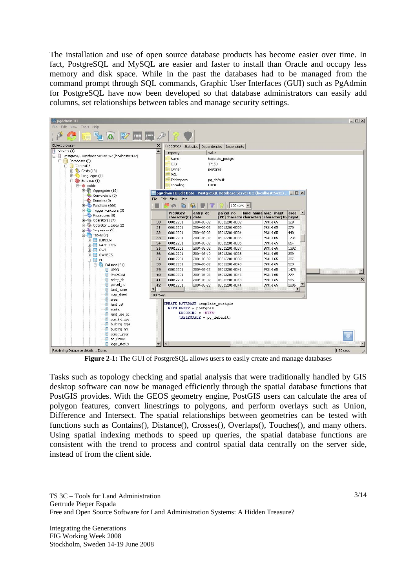The installation and use of open source database products has become easier over time. In fact, PostgreSQL and MySQL are easier and faster to install than Oracle and occupy less memory and disk space. While in the past the databases had to be managed from the command prompt through SQL commands, Graphic User Interfaces (GUI) such as PgAdmin for PostgreSQL have now been developed so that database administrators can easily add columns, set relationships between tables and manage security settings.



**Figure 2-1:** The GUI of PostgreSQL allows users to easily create and manage databases

Tasks such as topology checking and spatial analysis that were traditionally handled by GIS desktop software can now be managed efficiently through the spatial database functions that PostGIS provides. With the GEOS geometry engine, PostGIS users can calculate the area of polygon features, convert linestrings to polygons, and perform overlays such as Union, Difference and Intersect. The spatial relationships between geometries can be tested with functions such as Contains(), Distance(), Crosses(), Overlaps(), Touches(), and many others. Using spatial indexing methods to speed up queries, the spatial database functions are consistent with the trend to process and control spatial data centrally on the server side, instead of from the client side.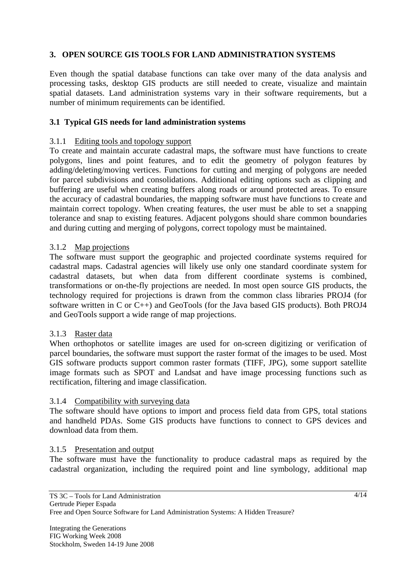## **3. OPEN SOURCE GIS TOOLS FOR LAND ADMINISTRATION SYSTEMS**

Even though the spatial database functions can take over many of the data analysis and processing tasks, desktop GIS products are still needed to create, visualize and maintain spatial datasets. Land administration systems vary in their software requirements, but a number of minimum requirements can be identified.

### **3.1 Typical GIS needs for land administration systems**

#### 3.1.1 Editing tools and topology support

To create and maintain accurate cadastral maps, the software must have functions to create polygons, lines and point features, and to edit the geometry of polygon features by adding/deleting/moving vertices. Functions for cutting and merging of polygons are needed for parcel subdivisions and consolidations. Additional editing options such as clipping and buffering are useful when creating buffers along roads or around protected areas. To ensure the accuracy of cadastral boundaries, the mapping software must have functions to create and maintain correct topology. When creating features, the user must be able to set a snapping tolerance and snap to existing features. Adjacent polygons should share common boundaries and during cutting and merging of polygons, correct topology must be maintained.

### 3.1.2 Map projections

The software must support the geographic and projected coordinate systems required for cadastral maps. Cadastral agencies will likely use only one standard coordinate system for cadastral datasets, but when data from different coordinate systems is combined, transformations or on-the-fly projections are needed. In most open source GIS products, the technology required for projections is drawn from the common class libraries PROJ4 (for software written in C or C++) and GeoTools (for the Java based GIS products). Both PROJ4 and GeoTools support a wide range of map projections.

#### 3.1.3 Raster data

When orthophotos or satellite images are used for on-screen digitizing or verification of parcel boundaries, the software must support the raster format of the images to be used. Most GIS software products support common raster formats (TIFF, JPG), some support satellite image formats such as SPOT and Landsat and have image processing functions such as rectification, filtering and image classification.

### 3.1.4 Compatibility with surveying data

The software should have options to import and process field data from GPS, total stations and handheld PDAs. Some GIS products have functions to connect to GPS devices and download data from them.

#### 3.1.5 Presentation and output

The software must have the functionality to produce cadastral maps as required by the cadastral organization, including the required point and line symbology, additional map

4/14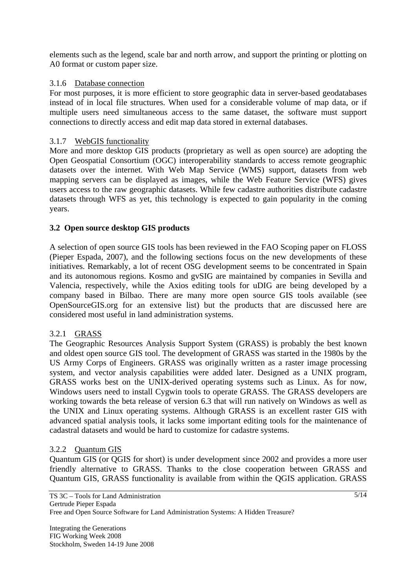elements such as the legend, scale bar and north arrow, and support the printing or plotting on A0 format or custom paper size.

## 3.1.6 Database connection

For most purposes, it is more efficient to store geographic data in server-based geodatabases instead of in local file structures. When used for a considerable volume of map data, or if multiple users need simultaneous access to the same dataset, the software must support connections to directly access and edit map data stored in external databases.

## 3.1.7 WebGIS functionality

More and more desktop GIS products (proprietary as well as open source) are adopting the Open Geospatial Consortium (OGC) interoperability standards to access remote geographic datasets over the internet. With Web Map Service (WMS) support, datasets from web mapping servers can be displayed as images, while the Web Feature Service (WFS) gives users access to the raw geographic datasets. While few cadastre authorities distribute cadastre datasets through WFS as yet, this technology is expected to gain popularity in the coming years.

## **3.2 Open source desktop GIS products**

A selection of open source GIS tools has been reviewed in the FAO Scoping paper on FLOSS (Pieper Espada, 2007), and the following sections focus on the new developments of these initiatives. Remarkably, a lot of recent OSG development seems to be concentrated in Spain and its autonomous regions. Kosmo and gvSIG are maintained by companies in Sevilla and Valencia, respectively, while the Axios editing tools for uDIG are being developed by a company based in Bilbao. There are many more open source GIS tools available (see OpenSourceGIS.org for an extensive list) but the products that are discussed here are considered most useful in land administration systems.

## 3.2.1 GRASS

The Geographic Resources Analysis Support System (GRASS) is probably the best known and oldest open source GIS tool. The development of GRASS was started in the 1980s by the US Army Corps of Engineers. GRASS was originally written as a raster image processing system, and vector analysis capabilities were added later. Designed as a UNIX program, GRASS works best on the UNIX-derived operating systems such as Linux. As for now, Windows users need to install Cygwin tools to operate GRASS. The GRASS developers are working towards the beta release of version 6.3 that will run natively on Windows as well as the UNIX and Linux operating systems. Although GRASS is an excellent raster GIS with advanced spatial analysis tools, it lacks some important editing tools for the maintenance of cadastral datasets and would be hard to customize for cadastre systems.

### 3.2.2 Quantum GIS

Quantum GIS (or QGIS for short) is under development since 2002 and provides a more user friendly alternative to GRASS. Thanks to the close cooperation between GRASS and Quantum GIS, GRASS functionality is available from within the QGIS application. GRASS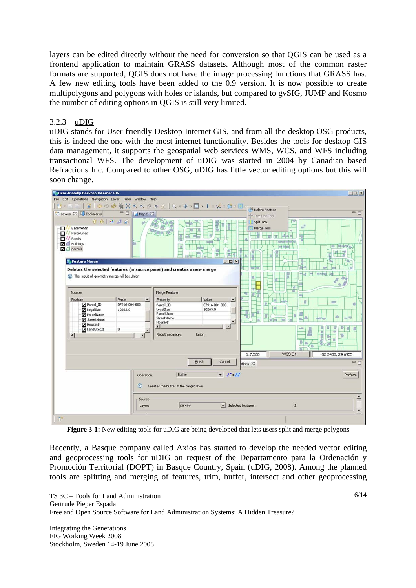layers can be edited directly without the need for conversion so that QGIS can be used as a frontend application to maintain GRASS datasets. Although most of the common raster formats are supported, QGIS does not have the image processing functions that GRASS has. A few new editing tools have been added to the 0.9 version. It is now possible to create multipolygons and polygons with holes or islands, but compared to gvSIG, JUMP and Kosmo the number of editing options in QGIS is still very limited.

## 3.2.3 uDIG

uDIG stands for User-friendly Desktop Internet GIS, and from all the desktop OSG products, this is indeed the one with the most internet functionality. Besides the tools for desktop GIS data management, it supports the geospatial web services WMS, WCS, and WFS including transactional WFS. The development of uDIG was started in 2004 by Canadian based Refractions Inc. Compared to other OSG, uDIG has little vector editing options but this will soon change.

| <b>Sa User-friendly Desktop Internet GIS</b>                                                                                                                                                                                                                       |                                                                                                                          |                                        | $\Box$                                                                                                  |
|--------------------------------------------------------------------------------------------------------------------------------------------------------------------------------------------------------------------------------------------------------------------|--------------------------------------------------------------------------------------------------------------------------|----------------------------------------|---------------------------------------------------------------------------------------------------------|
| File Edit Operations Navigation Layer Tools Window Help                                                                                                                                                                                                            |                                                                                                                          |                                        |                                                                                                         |
| $13 - 7 - 8$                                                                                                                                                                                                                                                       | OOB強災の日は日は  Q·ホ·ロ·i·ビ·ロ·国· (Solete Feature                                                                               |                                        |                                                                                                         |
| $\equiv$<br>$\Box$<br>ta. Layers 23 JJ Bookmarks<br>Map 2 23                                                                                                                                                                                                       | + Trim Line Tool                                                                                                         | $=$ $\Box$                             |                                                                                                         |
| 98940<br>- T N<br>Easements<br><b>D</b> / ParcelLines<br>Roads<br>ПN<br><b>D</b> Buildings<br>$\neg$ $\Box$ parcels<br>Feature Merge<br>Deletes the selected features (in source panel) and creates a new merge<br>(i) The result of geometry merge will be: Union | 흕<br><b>Send on</b><br>T<br>mи<br>$  D $ $\times$                                                                        | Split Tool<br>Merge Tool<br>and did un | ГФ<br>声<br>π<br>啡 萨中学人<br><b>CO</b><br>m<br>mind                                                        |
| Sources                                                                                                                                                                                                                                                            | Merge Feature                                                                                                            | ū<br>т                                 | 面<br>ਰ                                                                                                  |
| Value<br>Feature<br>$\blacktriangle$<br>Parcel_ID<br>07916-004-000<br>LegalSize<br>10263.0<br>ParcelName<br>StreetName                                                                                                                                             | Value<br>Property<br>×<br>Parcel ID<br>07916-004-000<br>LegalSize<br>10263.0<br>ParcelName<br>StreetName<br>۰<br>HouseNr |                                        | n<br><b>Star</b><br>иß<br>ш                                                                             |
| HouseNr<br>LandUseCd<br>$\mathbf 0$<br>и                                                                                                                                                                                                                           | $\mathbf{E}$<br>$\left  \cdot \right $<br>Result geometry:<br><b>Union</b>                                               |                                        | Π<br>$\frac{1}{2}$<br><b>IP</b><br>a a a<br>핅<br>$-100$<br>目<br>횬<br>ъ<br>T.<br>Ŕ<br>۰<br>B<br>an-<br>D |
|                                                                                                                                                                                                                                                                    |                                                                                                                          | 1:7,560                                | WGS 84<br>-82.3458, 29.6955                                                                             |
|                                                                                                                                                                                                                                                                    | <b>Einish</b><br>Cancel                                                                                                  | btions 23                              | $= 5$                                                                                                   |
| Operation<br>$\bf{u}$                                                                                                                                                                                                                                              | $\Sigma$ $BSE$<br>Buffer<br>Creates the buffer in the target layer                                                       |                                        | Perform                                                                                                 |
| Source<br>Layer:                                                                                                                                                                                                                                                   | parcels<br>$\overline{ }$                                                                                                | Selected features:                     | Ê<br>$\bar{2}$<br>$\blacktriangledown$                                                                  |
| $\Pi^{\circ}$                                                                                                                                                                                                                                                      |                                                                                                                          |                                        |                                                                                                         |

**Figure 3-1:** New editing tools for uDIG are being developed that lets users split and merge polygons

Recently, a Basque company called Axios has started to develop the needed vector editing and geoprocessing tools for uDIG on request of the Departamento para la Ordenación y Promoción Territorial (DOPT) in Basque Country, Spain (uDIG, 2008). Among the planned tools are splitting and merging of features, trim, buffer, intersect and other geoprocessing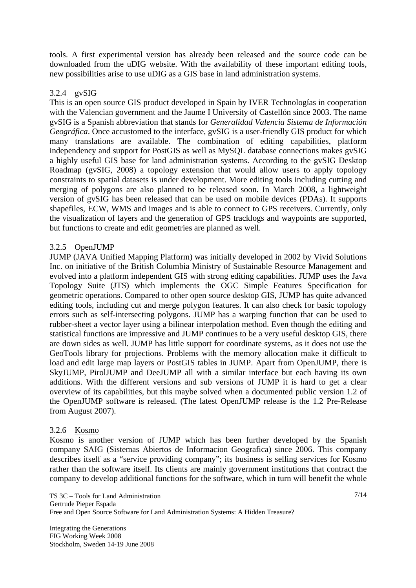tools. A first experimental version has already been released and the source code can be downloaded from the uDIG website. With the availability of these important editing tools, new possibilities arise to use uDIG as a GIS base in land administration systems.

### 3.2.4 gvSIG

This is an open source GIS product developed in Spain by IVER Technologías in cooperation with the Valencian government and the Jaume I University of Castellón since 2003. The name gvSIG is a Spanish abbreviation that stands for *Generalidad Valencia Sistema de Información Geográfica*. Once accustomed to the interface, gvSIG is a user-friendly GIS product for which many translations are available. The combination of editing capabilities, platform independency and support for PostGIS as well as MySQL database connections makes gvSIG a highly useful GIS base for land administration systems. According to the gvSIG Desktop Roadmap (gvSIG, 2008) a topology extension that would allow users to apply topology constraints to spatial datasets is under development. More editing tools including cutting and merging of polygons are also planned to be released soon. In March 2008, a lightweight version of gvSIG has been released that can be used on mobile devices (PDAs). It supports shapefiles, ECW, WMS and images and is able to connect to GPS receivers. Currently, only the visualization of layers and the generation of GPS tracklogs and waypoints are supported, but functions to create and edit geometries are planned as well.

### 3.2.5 OpenJUMP

JUMP (JAVA Unified Mapping Platform) was initially developed in 2002 by Vivid Solutions Inc. on initiative of the British Columbia Ministry of Sustainable Resource Management and evolved into a platform independent GIS with strong editing capabilities. JUMP uses the Java Topology Suite (JTS) which implements the OGC Simple Features Specification for geometric operations. Compared to other open source desktop GIS, JUMP has quite advanced editing tools, including cut and merge polygon features. It can also check for basic topology errors such as self-intersecting polygons. JUMP has a warping function that can be used to rubber-sheet a vector layer using a bilinear interpolation method. Even though the editing and statistical functions are impressive and JUMP continues to be a very useful desktop GIS, there are down sides as well. JUMP has little support for coordinate systems, as it does not use the GeoTools library for projections. Problems with the memory allocation make it difficult to load and edit large map layers or PostGIS tables in JUMP. Apart from OpenJUMP, there is SkyJUMP, PirolJUMP and DeeJUMP all with a similar interface but each having its own additions. With the different versions and sub versions of JUMP it is hard to get a clear overview of its capabilities, but this maybe solved when a documented public version 1.2 of the OpenJUMP software is released. (The latest OpenJUMP release is the 1.2 Pre-Release from August 2007).

### 3.2.6 Kosmo

Kosmo is another version of JUMP which has been further developed by the Spanish company SAIG (Sistemas Abiertos de Informacion Geografica) since 2006. This company describes itself as a "service providing company"; its business is selling services for Kosmo rather than the software itself. Its clients are mainly government institutions that contract the company to develop additional functions for the software, which in turn will benefit the whole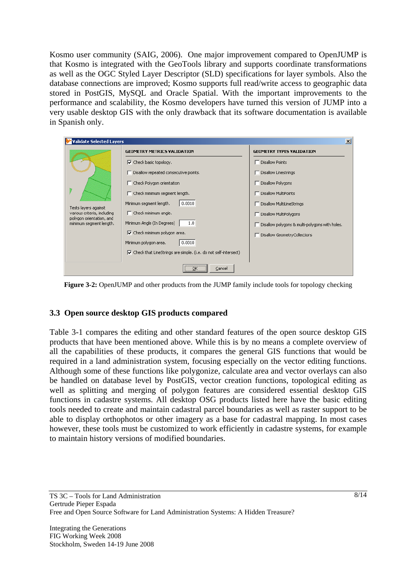Kosmo user community (SAIG, 2006). One major improvement compared to OpenJUMP is that Kosmo is integrated with the GeoTools library and supports coordinate transformations as well as the OGC Styled Layer Descriptor (SLD) specifications for layer symbols. Also the database connections are improved; Kosmo supports full read/write access to geographic data stored in PostGIS, MySQL and Oracle Spatial. With the important improvements to the performance and scalability, the Kosmo developers have turned this version of JUMP into a very usable desktop GIS with the only drawback that its software documentation is available in Spanish only.

| Validate Selected Layers                                                                                   |                                                                                 | $\mathbf{x}$                                   |  |  |
|------------------------------------------------------------------------------------------------------------|---------------------------------------------------------------------------------|------------------------------------------------|--|--|
| Tests layers against<br>various criteria, including<br>polygon orientation, and<br>minimum segment length. | <b>GEOMETRY METRICS VALIDATION</b>                                              | <b>GEOMETRY TYPES VALIDATION</b>               |  |  |
|                                                                                                            | $\nabla$ Check basic topology.                                                  | Disallow Points                                |  |  |
|                                                                                                            | Disallow repeated consecutive points.                                           | Disallow Linestrings                           |  |  |
|                                                                                                            | Check Polygon orientation                                                       | Disallow Polygons                              |  |  |
|                                                                                                            | Check minimum segment length.                                                   | Disallow MultiPoints                           |  |  |
|                                                                                                            | 0.0010<br>Minimum segment length.                                               | Disallow MultiLineStrings                      |  |  |
|                                                                                                            | $\overline{\phantom{a}}$ Check minimum angle,                                   | Disallow MultiPolygons                         |  |  |
|                                                                                                            | Minimum Angle (In Degrees)<br>1.0                                               | Disallow polygons & multi-polygons with holes. |  |  |
|                                                                                                            | $\overline{\nabla}$ Check minimum polygon area.                                 | Disallow GeometryCollections                   |  |  |
|                                                                                                            | 0.0010<br>Minimum polygon area.                                                 |                                                |  |  |
|                                                                                                            | $\triangledown$ Check that LineStrings are simple. (i.e. do not self-intersect) |                                                |  |  |
|                                                                                                            | <br>Cancel                                                                      |                                                |  |  |

**Figure 3-2:** OpenJUMP and other products from the JUMP family include tools for topology checking

#### **3.3 Open source desktop GIS products compared**

Table 3-1 compares the editing and other standard features of the open source desktop GIS products that have been mentioned above. While this is by no means a complete overview of all the capabilities of these products, it compares the general GIS functions that would be required in a land administration system, focusing especially on the vector editing functions. Although some of these functions like polygonize, calculate area and vector overlays can also be handled on database level by PostGIS, vector creation functions, topological editing as well as splitting and merging of polygon features are considered essential desktop GIS functions in cadastre systems. All desktop OSG products listed here have the basic editing tools needed to create and maintain cadastral parcel boundaries as well as raster support to be able to display orthophotos or other imagery as a base for cadastral mapping. In most cases however, these tools must be customized to work efficiently in cadastre systems, for example to maintain history versions of modified boundaries.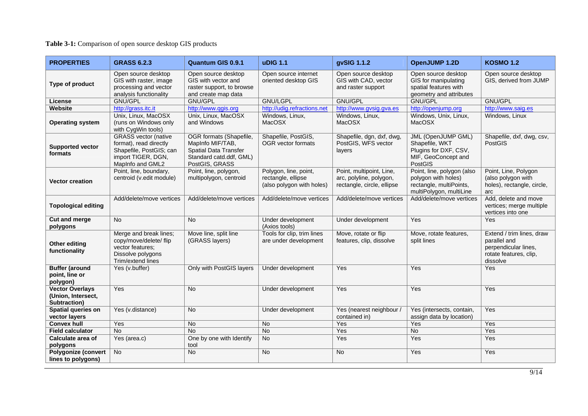### **Table 3-1:** Comparison of open source desktop GIS products

| <b>PROPERTIES</b>                                            | <b>GRASS 6.2.3</b>                                                                                                         | <b>Quantum GIS 0.9.1</b>                                                                                                 | <b>uDIG 1.1</b>                                                          | gvSIG 1.1.2                                                                       | OpenJUMP 1.2D                                                                                           | <b>KOSMO 1.2</b>                                                                                        |
|--------------------------------------------------------------|----------------------------------------------------------------------------------------------------------------------------|--------------------------------------------------------------------------------------------------------------------------|--------------------------------------------------------------------------|-----------------------------------------------------------------------------------|---------------------------------------------------------------------------------------------------------|---------------------------------------------------------------------------------------------------------|
| Type of product                                              | Open source desktop<br>GIS with raster, image<br>processing and vector<br>analysis functionality                           | Open source desktop<br>GIS with vector and<br>raster support, to browse<br>and create map data                           | Open source internet<br>oriented desktop GIS                             | Open source desktop<br>GIS with CAD, vector<br>and raster support                 | Open source desktop<br>GIS for manipulating<br>spatial features with<br>geometry and attributes         | Open source desktop<br>GIS, derived from JUMP                                                           |
| License                                                      | GNU/GPL                                                                                                                    | <b>GNU/GPL</b>                                                                                                           | <b>GNU/LGPL</b>                                                          | GNU/GPL                                                                           | <b>GNU/GPL</b>                                                                                          | GNU/GPL                                                                                                 |
| Website                                                      | http://grass.itc.it                                                                                                        | http://www.qgis.org                                                                                                      | http://udig.refractions.net                                              | http://www.gvsig.gva.es                                                           | http://openjump.org                                                                                     | http://www.saig.es                                                                                      |
| <b>Operating system</b>                                      | Unix, Linux, MacOSX<br>(runs on Windows only<br>with CygWin tools)                                                         | Unix, Linux, MacOSX<br>and Windows                                                                                       | Windows, Linux,<br><b>MacOSX</b>                                         | Windows, Linux,<br>MacOSX                                                         | Windows, Unix, Linux,<br>MacOSX                                                                         | Windows, Linux                                                                                          |
| <b>Supported vector</b><br>formats                           | <b>GRASS</b> vector (native<br>format), read directly<br>Shapefile, PostGIS; can<br>import TIGER, DGN,<br>MapInfo and GML2 | OGR formats (Shapefile,<br>MapInfo MIF/TAB,<br><b>Spatial Data Transfer</b><br>Standard catd.ddf, GML)<br>PostGIS, GRASS | Shapefile, PostGIS,<br>OGR vector formats                                | Shapefile, dgn, dxf, dwg,<br>PostGIS, WFS vector<br>layers                        | <b>JML (OpenJUMP GML)</b><br>Shapefile, WKT<br>Plugins for DXF, CSV,<br>MIF, GeoConcept and<br>PostGIS  | Shapefile, dxf, dwg, csv,<br><b>PostGIS</b>                                                             |
| <b>Vector creation</b>                                       | Point, line, boundary,<br>centroid (v.edit module)                                                                         | Point, line, polygon,<br>multipolygon, centroid                                                                          | Polygon, line, point,<br>rectangle, ellipse<br>(also polygon with holes) | Point, multipoint, Line,<br>arc, polyline, polygon,<br>rectangle, circle, ellipse | Point, line, polygon (also<br>polygon with holes)<br>rectangle, multiPoints,<br>multiPolygon, multiLine | Point, Line, Polygon<br>(also polygon with<br>holes), rectangle, circle,<br>arc                         |
| <b>Topological editing</b>                                   | Add/delete/move vertices                                                                                                   | Add/delete/move vertices                                                                                                 | Add/delete/move vertices                                                 | Add/delete/move vertices                                                          | Add/delete/move vertices                                                                                | Add, delete and move<br>vertices; merge multiple<br>vertices into one                                   |
| <b>Cut and merge</b><br>polygons                             | <b>No</b>                                                                                                                  | <b>No</b>                                                                                                                | Under development<br>(Axios tools)                                       | Under development                                                                 | Yes                                                                                                     | Yes                                                                                                     |
| Other editing<br>functionality                               | Merge and break lines;<br>copy/move/delete/ flip<br>vector features;<br>Dissolve polygons<br>Trim/extend lines             | Move line, split line<br>(GRASS layers)                                                                                  | Tools for clip, trim lines<br>are under development                      | Move, rotate or flip<br>features, clip, dissolve                                  | Move, rotate features,<br>split lines                                                                   | Extend / trim lines, draw<br>parallel and<br>perpendicular lines,<br>rotate features, clip,<br>dissolve |
| <b>Buffer (around</b><br>point, line or<br>polygon)          | Yes (v.buffer)                                                                                                             | Only with PostGIS layers                                                                                                 | Under development                                                        | Yes                                                                               | Yes                                                                                                     | Yes                                                                                                     |
| <b>Vector Overlays</b><br>(Union, Intersect,<br>Subtraction) | Yes                                                                                                                        | <b>No</b>                                                                                                                | Under development                                                        | Yes                                                                               | Yes                                                                                                     | Yes                                                                                                     |
| Spatial queries on<br>vector layers                          | Yes (v.distance)                                                                                                           | $\overline{No}$                                                                                                          | Under development                                                        | Yes (nearest neighbour /<br>contained in)                                         | Yes (intersects, contain,<br>assign data by location)                                                   | Yes                                                                                                     |
| <b>Convex hull</b>                                           | Yes                                                                                                                        | N <sub>o</sub>                                                                                                           | <b>No</b>                                                                | Yes                                                                               | Yes                                                                                                     | Yes                                                                                                     |
| <b>Field calculator</b>                                      | <b>No</b>                                                                                                                  | <b>No</b>                                                                                                                | <b>No</b>                                                                | Yes                                                                               | <b>No</b>                                                                                               | Yes                                                                                                     |
| Calculate area of<br>polygons                                | Yes (area.c)                                                                                                               | One by one with Identify<br>tool                                                                                         | $\overline{No}$                                                          | Yes                                                                               | Yes                                                                                                     | Yes                                                                                                     |
| <b>Polygonize (convert</b><br>lines to polygons)             | No                                                                                                                         | <b>No</b>                                                                                                                | <b>No</b>                                                                | <b>No</b>                                                                         | Yes                                                                                                     | Yes                                                                                                     |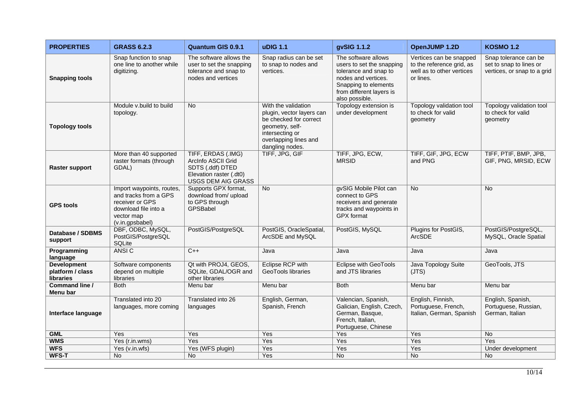| <b>PROPERTIES</b>                                   | <b>GRASS 6.2.3</b>                                                                                                             | <b>Quantum GIS 0.9.1</b>                                                                                      | <b>uDIG 1.1</b>                                                                                                                                              | gvSIG 1.1.2                                                                                                                                                            | OpenJUMP 1.2D                                                                                  | <b>KOSMO 1.2</b>                                                                |
|-----------------------------------------------------|--------------------------------------------------------------------------------------------------------------------------------|---------------------------------------------------------------------------------------------------------------|--------------------------------------------------------------------------------------------------------------------------------------------------------------|------------------------------------------------------------------------------------------------------------------------------------------------------------------------|------------------------------------------------------------------------------------------------|---------------------------------------------------------------------------------|
| <b>Snapping tools</b>                               | Snap function to snap<br>one line to another while<br>digitizing.                                                              | The software allows the<br>user to set the snapping<br>tolerance and snap to<br>nodes and vertices            | Snap radius can be set<br>to snap to nodes and<br>vertices.                                                                                                  | The software allows<br>users to set the snapping<br>tolerance and snap to<br>nodes and vertices.<br>Snapping to elements<br>from different layers is<br>also possible. | Vertices can be snapped<br>to the reference grid, as<br>well as to other vertices<br>or lines. | Snap tolerance can be<br>set to snap to lines or<br>vertices, or snap to a grid |
| <b>Topology tools</b>                               | Module v.build to build<br>topology.                                                                                           | <b>No</b>                                                                                                     | With the validation<br>plugin, vector layers can<br>be checked for correct<br>geometry, self-<br>intersecting or<br>overlapping lines and<br>dangling nodes. | Topology extension is<br>under development                                                                                                                             | Topology validation tool<br>to check for valid<br>geometry                                     | Topology validation tool<br>to check for valid<br>geometry                      |
| <b>Raster support</b>                               | More than 40 supported<br>raster formats (through<br>GDAL)                                                                     | TIFF, ERDAS (.IMG)<br>ArcInfo ASCII Grid<br>SDTS (.ddf) DTED<br>Elevation raster (.dt0)<br>USGS DEM AIG GRASS | TIFF, JPG, GIF                                                                                                                                               | TIFF, JPG, ECW,<br><b>MRSID</b>                                                                                                                                        | TIFF, GIF, JPG, ECW<br>and PNG                                                                 | TIFF, PTIF, BMP, JPB,<br>GIF, PNG, MRSID, ECW                                   |
| <b>GPS tools</b>                                    | Import waypoints, routes,<br>and tracks from a GPS<br>receiver or GPS<br>download file into a<br>vector map<br>(v.in.gpsbabel) | Supports GPX format,<br>download from/ upload<br>to GPS through<br>GPSBabel                                   | <b>No</b>                                                                                                                                                    | gvSIG Mobile Pilot can<br>connect to GPS<br>receivers and generate<br>tracks and waypoints in<br><b>GPX</b> format                                                     | $\overline{No}$                                                                                | <b>No</b>                                                                       |
| Database / SDBMS<br>support                         | DBF, ODBC, MySQL,<br>PostGIS/PostgreSQL<br><b>SQLite</b>                                                                       | PostGIS/PostgreSQL                                                                                            | PostGIS, OracleSpatial,<br>ArcSDE and MySQL                                                                                                                  | PostGIS, MySQL                                                                                                                                                         | Plugins for PostGIS,<br>ArcSDE                                                                 | PostGIS/PostgreSQL,<br>MySQL, Oracle Spatial                                    |
| Programming<br>language                             | ANSI C                                                                                                                         | $C++$                                                                                                         | Java                                                                                                                                                         | Java                                                                                                                                                                   | Java                                                                                           | Java                                                                            |
| <b>Development</b><br>platform / class<br>libraries | Software components<br>depend on multiple<br>libraries                                                                         | Qt with PROJ4, GEOS,<br>SQLite, GDAL/OGR and<br>other libraries                                               | Eclipse RCP with<br>GeoTools libraries                                                                                                                       | <b>Eclipse with GeoTools</b><br>and JTS libraries                                                                                                                      | Java Topology Suite<br>(JTS)                                                                   | GeoTools, JTS                                                                   |
| Command line /<br>Menu bar                          | <b>Both</b>                                                                                                                    | Menu bar                                                                                                      | Menu bar                                                                                                                                                     | <b>Both</b>                                                                                                                                                            | Menu bar                                                                                       | Menu bar                                                                        |
| Interface language                                  | Translated into 20<br>languages, more coming                                                                                   | Translated into 26<br>languages                                                                               | English, German,<br>Spanish, French                                                                                                                          | Valencian, Spanish,<br>Galician, English, Czech,<br>German, Basque,<br>French, Italian,<br>Portuguese, Chinese                                                         | English, Finnish,<br>Portuguese, French,<br>Italian, German, Spanish                           | English, Spanish,<br>Portuguese, Russian,<br>German, Italian                    |
| <b>GML</b>                                          | Yes                                                                                                                            | Yes                                                                                                           | Yes                                                                                                                                                          | Yes                                                                                                                                                                    | Yes                                                                                            | <b>No</b>                                                                       |
| <b>WMS</b>                                          | Yes (r.in.wms)                                                                                                                 | Yes                                                                                                           | Yes                                                                                                                                                          | Yes                                                                                                                                                                    | Yes                                                                                            | Yes                                                                             |
| <b>WFS</b>                                          | Yes (v.in.wfs)                                                                                                                 | Yes (WFS plugin)                                                                                              | Yes                                                                                                                                                          | Yes                                                                                                                                                                    | Yes                                                                                            | Under development                                                               |
| <b>WFS-T</b>                                        | <b>No</b>                                                                                                                      | <b>No</b>                                                                                                     | Yes                                                                                                                                                          | <b>No</b>                                                                                                                                                              | <b>No</b>                                                                                      | <b>No</b>                                                                       |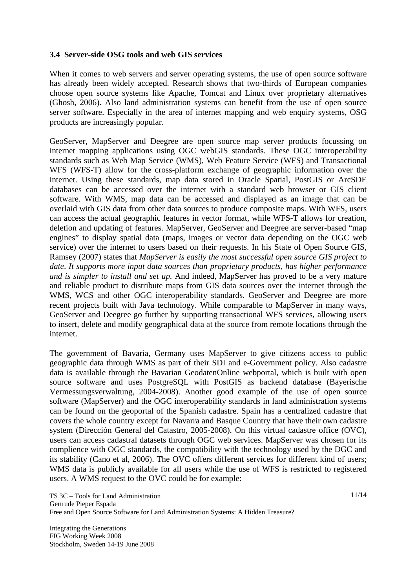### **3.4 Server-side OSG tools and web GIS services**

When it comes to web servers and server operating systems, the use of open source software has already been widely accepted. Research shows that two-thirds of European companies choose open source systems like Apache, Tomcat and Linux over proprietary alternatives (Ghosh, 2006). Also land administration systems can benefit from the use of open source server software. Especially in the area of internet mapping and web enquiry systems, OSG products are increasingly popular.

GeoServer, MapServer and Deegree are open source map server products focussing on internet mapping applications using OGC webGIS standards. These OGC interoperability standards such as Web Map Service (WMS), Web Feature Service (WFS) and Transactional WFS (WFS-T) allow for the cross-platform exchange of geographic information over the internet. Using these standards, map data stored in Oracle Spatial, PostGIS or ArcSDE databases can be accessed over the internet with a standard web browser or GIS client software. With WMS, map data can be accessed and displayed as an image that can be overlaid with GIS data from other data sources to produce composite maps. With WFS, users can access the actual geographic features in vector format, while WFS-T allows for creation, deletion and updating of features. MapServer, GeoServer and Deegree are server-based "map engines" to display spatial data (maps, images or vector data depending on the OGC web service) over the internet to users based on their requests. In his State of Open Source GIS, Ramsey (2007) states that *MapServer is easily the most successful open source GIS project to date*. *It supports more input data sources than proprietary products, has higher performance and is simpler to install and set up.* And indeed, MapServer has proved to be a very mature and reliable product to distribute maps from GIS data sources over the internet through the WMS, WCS and other OGC interoperability standards. GeoServer and Deegree are more recent projects built with Java technology. While comparable to MapServer in many ways, GeoServer and Deegree go further by supporting transactional WFS services, allowing users to insert, delete and modify geographical data at the source from remote locations through the internet.

The government of Bavaria, Germany uses MapServer to give citizens access to public geographic data through WMS as part of their SDI and e-Government policy. Also cadastre data is available through the Bavarian GeodatenOnline webportal, which is built with open source software and uses PostgreSQL with PostGIS as backend database (Bayerische Vermessungsverwaltung, 2004-2008). Another good example of the use of open source software (MapServer) and the OGC interoperability standards in land administration systems can be found on the geoportal of the Spanish cadastre. Spain has a centralized cadastre that covers the whole country except for Navarra and Basque Country that have their own cadastre system (Dirección General del Catastro, 2005-2008). On this virtual cadastre office (OVC), users can access cadastral datasets through OGC web services. MapServer was chosen for its complience with OGC standards, the compatibility with the technology used by the DGC and its stability (Cano et al, 2006). The OVC offers different services for different kind of users; WMS data is publicly available for all users while the use of WFS is restricted to registered users. A WMS request to the OVC could be for example: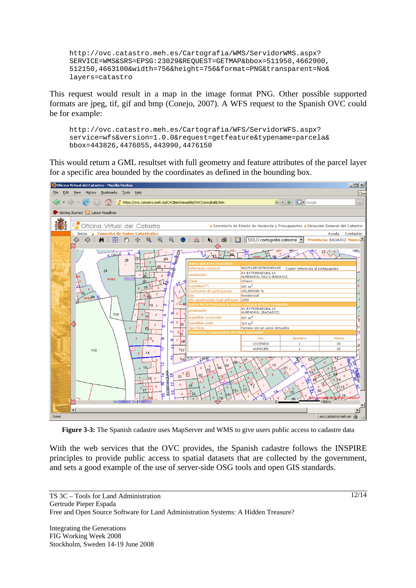```
http://ovc.catastro.meh.es/Cartografia/WMS/ServidorWMS.aspx? 
SERVICE=WMS&SRS=EPSG:23029&REQUEST=GETMAP&bbox=511950,4662900, 
512150,4663100&width=756&height=756&format=PNG&transparent=No& 
layers=catastro
```
This request would result in a map in the image format PNG. Other possible supported formats are jpeg, tif, gif and bmp (Conejo, 2007). A WFS request to the Spanish OVC could be for example:

```
http://ovc.catastro.meh.es/Cartografia/WFS/ServidorWFS.aspx? 
service=wfs&version=1.0.0&request=getfeature&typename=parcela& 
bbox=443826,4476055,443990,4476150
```
This would return a GML resultset with full geometry and feature attributes of the parcel layer for a specific area bounded by the coordinates as defined in the bounding box.



**Figure 3-3:** The Spanish cadastre uses MapServer and WMS to give users public access to cadastre data

With the web services that the OVC provides, the Spanish cadastre follows the INSPIRE principles to provide public access to spatial datasets that are collected by the government, and sets a good example of the use of server-side OSG tools and open GIS standards.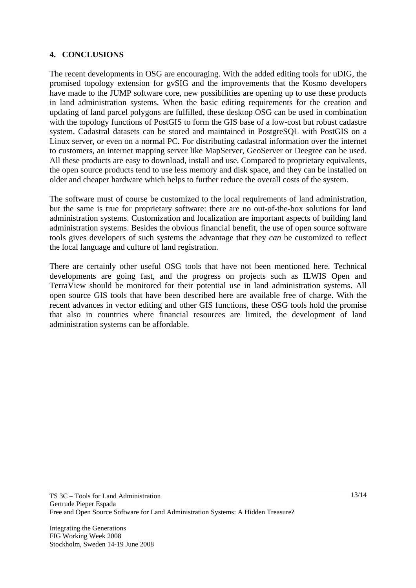## **4. CONCLUSIONS**

The recent developments in OSG are encouraging. With the added editing tools for uDIG, the promised topology extension for gvSIG and the improvements that the Kosmo developers have made to the JUMP software core, new possibilities are opening up to use these products in land administration systems. When the basic editing requirements for the creation and updating of land parcel polygons are fulfilled, these desktop OSG can be used in combination with the topology functions of PostGIS to form the GIS base of a low-cost but robust cadastre system. Cadastral datasets can be stored and maintained in PostgreSQL with PostGIS on a Linux server, or even on a normal PC. For distributing cadastral information over the internet to customers, an internet mapping server like MapServer, GeoServer or Deegree can be used. All these products are easy to download, install and use. Compared to proprietary equivalents, the open source products tend to use less memory and disk space, and they can be installed on older and cheaper hardware which helps to further reduce the overall costs of the system.

The software must of course be customized to the local requirements of land administration, but the same is true for proprietary software: there are no out-of-the-box solutions for land administration systems. Customization and localization are important aspects of building land administration systems. Besides the obvious financial benefit, the use of open source software tools gives developers of such systems the advantage that they *can* be customized to reflect the local language and culture of land registration.

There are certainly other useful OSG tools that have not been mentioned here. Technical developments are going fast, and the progress on projects such as ILWIS Open and TerraView should be monitored for their potential use in land administration systems. All open source GIS tools that have been described here are available free of charge. With the recent advances in vector editing and other GIS functions, these OSG tools hold the promise that also in countries where financial resources are limited, the development of land administration systems can be affordable.